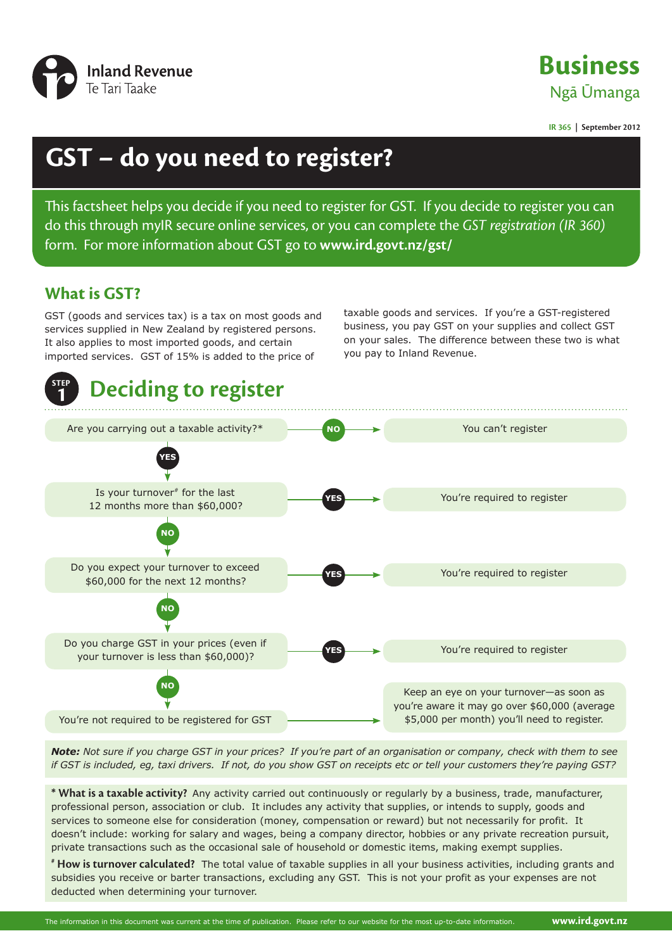

**Business** Ngā Ūmanga

**IR 365 | September 2012**

# **GST – do you need to register?**

This factsheet helps you decide if you need to register for GST. If you decide to register you can do this through myIR secure online services, or you can complete the *GST registration (IR 360)* form. For more information about GST go to **www.ird.govt.nz/gst/**

## **What is GST?**

GST (goods and services tax) is a tax on most goods and services supplied in New Zealand by registered persons. It also applies to most imported goods, and certain imported services. GST of 15% is added to the price of

taxable goods and services. If you're a GST-registered business, you pay GST on your supplies and collect GST on your sales. The difference between these two is what you pay to Inland Revenue.



*Note: Not sure if you charge GST in your prices? If you're part of an organisation or company, check with them to see if GST is included, eg, taxi drivers. If not, do you show GST on receipts etc or tell your customers they're paying GST?*

**\* What is a taxable activity?** Any activity carried out continuously or regularly by a business, trade, manufacturer, professional person, association or club. It includes any activity that supplies, or intends to supply, goods and services to someone else for consideration (money, compensation or reward) but not necessarily for profit. It doesn't include: working for salary and wages, being a company director, hobbies or any private recreation pursuit, private transactions such as the occasional sale of household or domestic items, making exempt supplies.

**# How is turnover calculated?** The total value of taxable supplies in all your business activities, including grants and subsidies you receive or barter transactions, excluding any GST. This is not your profit as your expenses are not deducted when determining your turnover.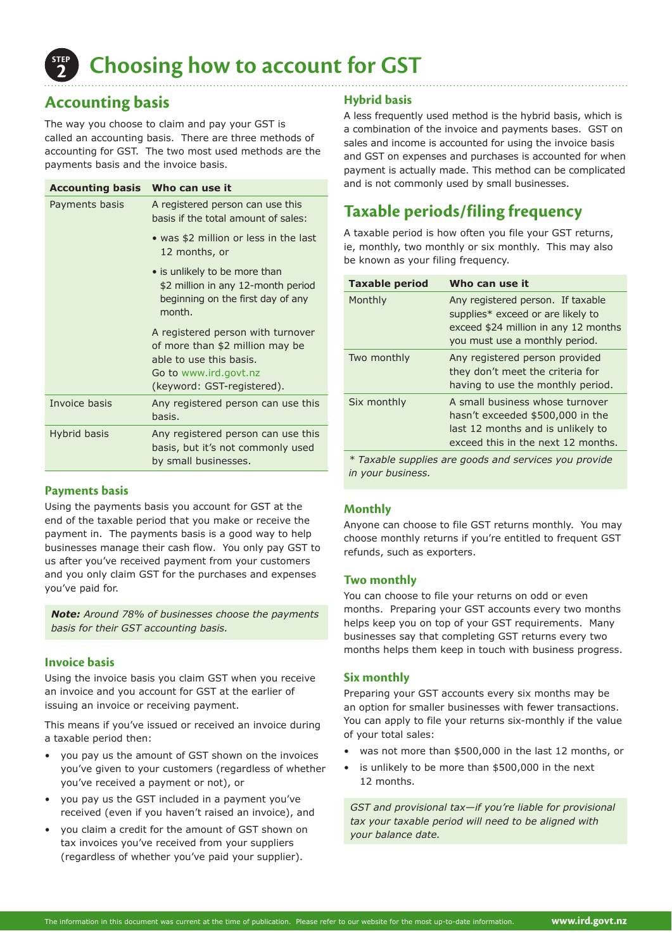

**2 Choosing how to account for GST**

## **Accounting basis**

The way you choose to claim and pay your GST is called an accounting basis. There are three methods of accounting for GST. The two most used methods are the payments basis and the invoice basis.

| Accounting basis Who can use it |                                                                                                                                                        |
|---------------------------------|--------------------------------------------------------------------------------------------------------------------------------------------------------|
| Payments basis                  | A registered person can use this<br>basis if the total amount of sales:                                                                                |
|                                 | • was \$2 million or less in the last<br>12 months, or                                                                                                 |
|                                 | • is unlikely to be more than<br>\$2 million in any 12-month period<br>beginning on the first day of any<br>month.                                     |
|                                 | A registered person with turnover<br>of more than \$2 million may be<br>able to use this basis.<br>Go to www.ird.govt.nz<br>(keyword: GST-registered). |
| Invoice basis                   | Any registered person can use this<br>hasis.                                                                                                           |
| Hybrid basis                    | Any registered person can use this<br>basis, but it's not commonly used<br>by small businesses.                                                        |

#### **Payments basis**

Using the payments basis you account for GST at the end of the taxable period that you make or receive the payment in. The payments basis is a good way to help businesses manage their cash flow. You only pay GST to us after you've received payment from your customers and you only claim GST for the purchases and expenses you've paid for.

*Note: Around 78% of businesses choose the payments basis for their GST accounting basis.*

### **Invoice basis**

Using the invoice basis you claim GST when you receive an invoice and you account for GST at the earlier of issuing an invoice or receiving payment.

This means if you've issued or received an invoice during a taxable period then:

- you pay us the amount of GST shown on the invoices you've given to your customers (regardless of whether you've received a payment or not), or
- you pay us the GST included in a payment you've received (even if you haven't raised an invoice), and
- you claim a credit for the amount of GST shown on tax invoices you've received from your suppliers (regardless of whether you've paid your supplier).

#### **Hybrid basis**

A less frequently used method is the hybrid basis, which is a combination of the invoice and payments bases. GST on sales and income is accounted for using the invoice basis and GST on expenses and purchases is accounted for when payment is actually made. This method can be complicated and is not commonly used by small businesses.

## **Taxable periods/filing frequency**

A taxable period is how often you file your GST returns, ie, monthly, two monthly or six monthly. This may also be known as your filing frequency.

| <b>Taxable period</b>                                                                                                                                                                                                               | Who can use it                                                                                                                                   |
|-------------------------------------------------------------------------------------------------------------------------------------------------------------------------------------------------------------------------------------|--------------------------------------------------------------------------------------------------------------------------------------------------|
| Monthly                                                                                                                                                                                                                             | Any registered person. If taxable<br>supplies* exceed or are likely to<br>exceed \$24 million in any 12 months<br>you must use a monthly period. |
| Two monthly                                                                                                                                                                                                                         | Any registered person provided<br>they don't meet the criteria for<br>having to use the monthly period.                                          |
| Six monthly                                                                                                                                                                                                                         | A small business whose turnover<br>hasn't exceeded \$500,000 in the<br>last 12 months and is unlikely to<br>exceed this in the next 12 months.   |
| $\ast$ $\bm{\tau}$ . The latter second to a large second constant and second second second second second second second second second second second second second second second second second second second second second second sec |                                                                                                                                                  |

*\* Taxable supplies are goods and services you provide in your business.* 

### **Monthly**

Anyone can choose to file GST returns monthly. You may choose monthly returns if you're entitled to frequent GST refunds, such as exporters.

#### **Two monthly**

You can choose to file your returns on odd or even months. Preparing your GST accounts every two months helps keep you on top of your GST requirements. Many businesses say that completing GST returns every two months helps them keep in touch with business progress.

#### **Six monthly**

Preparing your GST accounts every six months may be an option for smaller businesses with fewer transactions. You can apply to file your returns six-monthly if the value of your total sales:

- was not more than \$500,000 in the last 12 months, or
- is unlikely to be more than \$500,000 in the next 12 months.

*GST and provisional tax—if you're liable for provisional tax your taxable period will need to be aligned with your balance date.*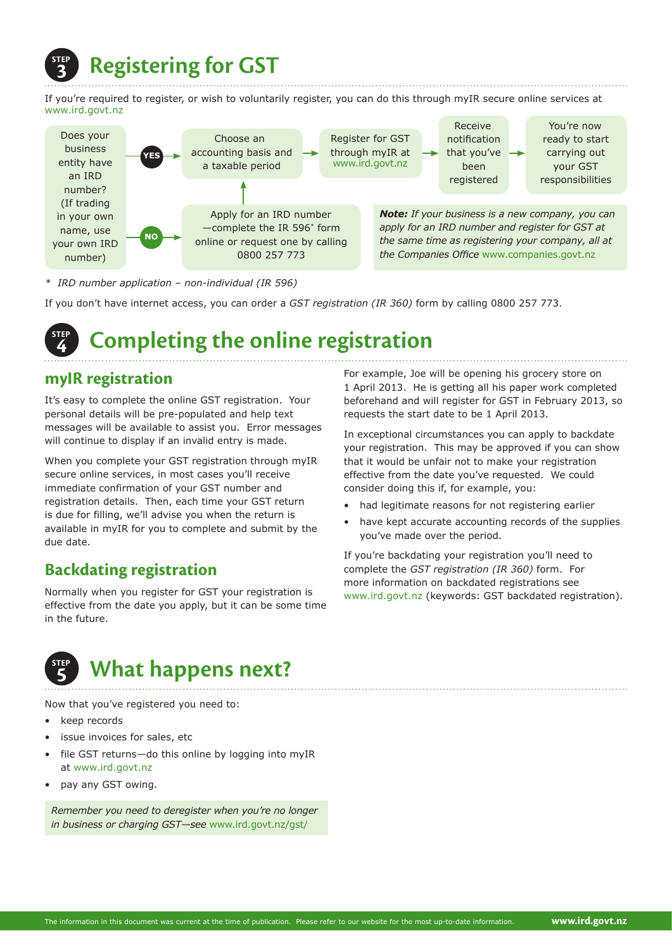

If you're required to register, or wish to voluntarily register, you can do this through myIR secure online services at www.ird.govt.nz



*\* IRD number application – non-individual (IR 596)* 

If you don't have internet access, you can order a *GST registration (IR 360)* form by calling 0800 257 773.

### **step 4 Completing the online registration**

## **myIR registration**

It's easy to complete the online GST registration. Your personal details will be pre-populated and help text messages will be available to assist you. Error messages will continue to display if an invalid entry is made.

When you complete your GST registration through myIR secure online services, in most cases you'll receive immediate confirmation of your GST number and registration details. Then, each time your GST return is due for filling, we'll advise you when the return is available in myIR for you to complete and submit by the due date.

## **Backdating registration**

Normally when you register for GST your registration is effective from the date you apply, but it can be some time in the future.

## **step 5 What happens next?**

Now that you've registered you need to:

- keep records
- issue invoices for sales, etc
- file GST returns-do this online by logging into myIR at www.ird.govt.nz
- pay any GST owing.

*Remember you need to deregister when you're no longer in business or charging GST—see* www.ird.govt.nz/gst/

For example, Joe will be opening his grocery store on 1 April 2013. He is getting all his paper work completed beforehand and will register for GST in February 2013, so requests the start date to be 1 April 2013.

In exceptional circumstances you can apply to backdate your registration. This may be approved if you can show that it would be unfair not to make your registration effective from the date you've requested. We could consider doing this if, for example, you:

- had legitimate reasons for not registering earlier
- have kept accurate accounting records of the supplies you've made over the period.

If you're backdating your registration you'll need to complete the *GST registration (IR 360)* form. For more information on backdated registrations see www.ird.govt.nz (keywords: GST backdated registration).